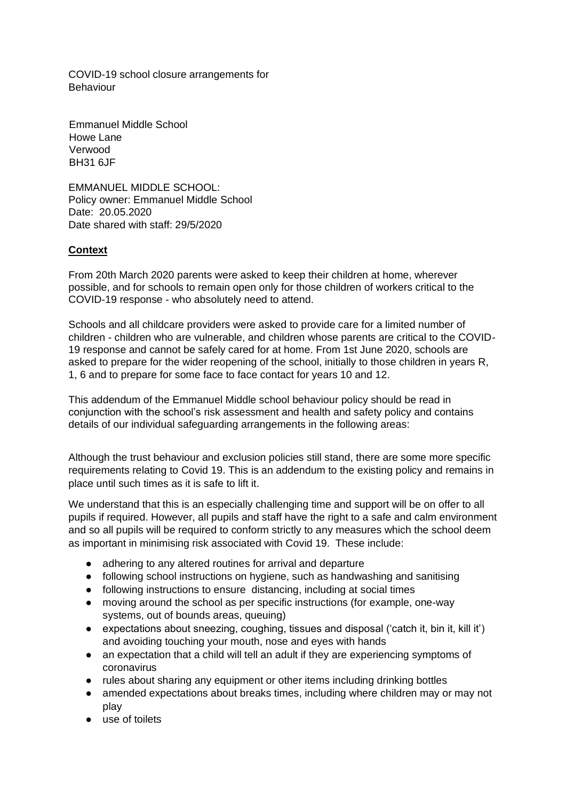COVID-19 school closure arrangements for Behaviour

Emmanuel Middle School Howe Lane Verwood BH31 6JF

EMMANUEL MIDDLE SCHOOL: Policy owner: Emmanuel Middle School Date: 20.05.2020 Date shared with staff: 29/5/2020

## **Context**

From 20th March 2020 parents were asked to keep their children at home, wherever possible, and for schools to remain open only for those children of workers critical to the COVID-19 response - who absolutely need to attend.

Schools and all childcare providers were asked to provide care for a limited number of children - children who are vulnerable, and children whose parents are critical to the COVID-19 response and cannot be safely cared for at home. From 1st June 2020, schools are asked to prepare for the wider reopening of the school, initially to those children in years R, 1, 6 and to prepare for some face to face contact for years 10 and 12.

This addendum of the Emmanuel Middle school behaviour policy should be read in conjunction with the school's risk assessment and health and safety policy and contains details of our individual safeguarding arrangements in the following areas:

Although the trust behaviour and exclusion policies still stand, there are some more specific requirements relating to Covid 19. This is an addendum to the existing policy and remains in place until such times as it is safe to lift it.

We understand that this is an especially challenging time and support will be on offer to all pupils if required. However, all pupils and staff have the right to a safe and calm environment and so all pupils will be required to conform strictly to any measures which the school deem as important in minimising risk associated with Covid 19. These include:

- adhering to any altered routines for arrival and departure
- following school instructions on hygiene, such as handwashing and sanitising
- following instructions to ensure distancing, including at social times
- moving around the school as per specific instructions (for example, one-way systems, out of bounds areas, queuing)
- expectations about sneezing, coughing, tissues and disposal ('catch it, bin it, kill it') and avoiding touching your mouth, nose and eyes with hands
- an expectation that a child will tell an adult if they are experiencing symptoms of coronavirus
- rules about sharing any equipment or other items including drinking bottles
- amended expectations about breaks times, including where children may or may not play
- use of toilets